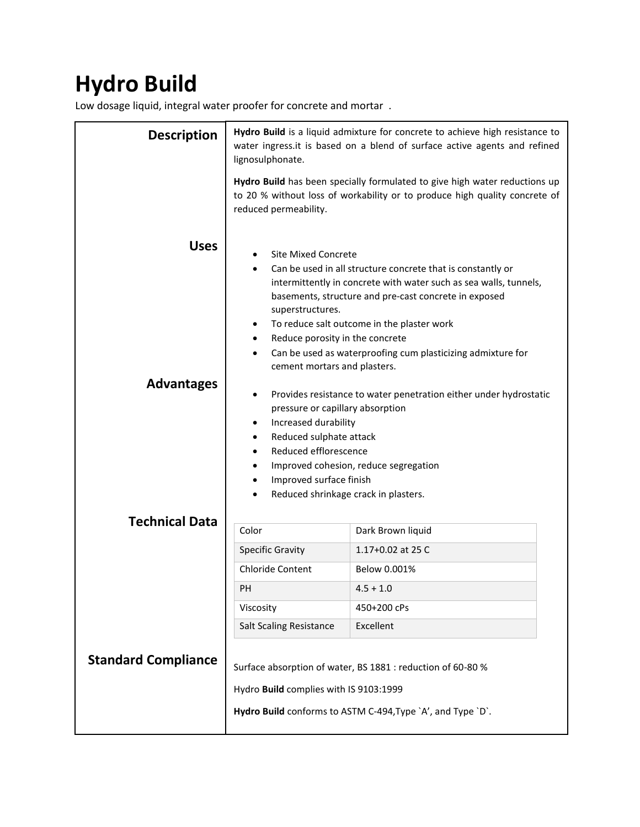## **Hydro Build**

Low dosage liquid, integral water proofer for concrete and mortar .

| <b>Description</b>               | Hydro Build is a liquid admixture for concrete to achieve high resistance to<br>water ingress.it is based on a blend of surface active agents and refined<br>lignosulphonate.                                                                                                                                                                                                                                                                                                                                                                                                                                                                                                                                                                                                        |                   |
|----------------------------------|--------------------------------------------------------------------------------------------------------------------------------------------------------------------------------------------------------------------------------------------------------------------------------------------------------------------------------------------------------------------------------------------------------------------------------------------------------------------------------------------------------------------------------------------------------------------------------------------------------------------------------------------------------------------------------------------------------------------------------------------------------------------------------------|-------------------|
|                                  | Hydro Build has been specially formulated to give high water reductions up<br>to 20 % without loss of workability or to produce high quality concrete of<br>reduced permeability.                                                                                                                                                                                                                                                                                                                                                                                                                                                                                                                                                                                                    |                   |
| <b>Uses</b><br><b>Advantages</b> | <b>Site Mixed Concrete</b><br>Can be used in all structure concrete that is constantly or<br>intermittently in concrete with water such as sea walls, tunnels,<br>basements, structure and pre-cast concrete in exposed<br>superstructures.<br>To reduce salt outcome in the plaster work<br>٠<br>Reduce porosity in the concrete<br>٠<br>Can be used as waterproofing cum plasticizing admixture for<br>cement mortars and plasters.<br>Provides resistance to water penetration either under hydrostatic<br>٠<br>pressure or capillary absorption<br>Increased durability<br>٠<br>Reduced sulphate attack<br>$\bullet$<br>Reduced efflorescence<br>٠<br>Improved cohesion, reduce segregation<br>$\bullet$<br>Improved surface finish<br>٠<br>Reduced shrinkage crack in plasters. |                   |
| <b>Technical Data</b>            | Color                                                                                                                                                                                                                                                                                                                                                                                                                                                                                                                                                                                                                                                                                                                                                                                | Dark Brown liquid |
|                                  | <b>Specific Gravity</b>                                                                                                                                                                                                                                                                                                                                                                                                                                                                                                                                                                                                                                                                                                                                                              | 1.17+0.02 at 25 C |
|                                  | <b>Chloride Content</b>                                                                                                                                                                                                                                                                                                                                                                                                                                                                                                                                                                                                                                                                                                                                                              | Below 0.001%      |
|                                  | PH                                                                                                                                                                                                                                                                                                                                                                                                                                                                                                                                                                                                                                                                                                                                                                                   | $4.5 + 1.0$       |
|                                  | Viscosity                                                                                                                                                                                                                                                                                                                                                                                                                                                                                                                                                                                                                                                                                                                                                                            | 450+200 cPs       |
|                                  | <b>Salt Scaling Resistance</b>                                                                                                                                                                                                                                                                                                                                                                                                                                                                                                                                                                                                                                                                                                                                                       | Excellent         |
| <b>Standard Compliance</b>       | Surface absorption of water, BS 1881 : reduction of 60-80 %<br>Hydro Build complies with IS 9103:1999<br>Hydro Build conforms to ASTM C-494, Type `A', and Type `D`.                                                                                                                                                                                                                                                                                                                                                                                                                                                                                                                                                                                                                 |                   |